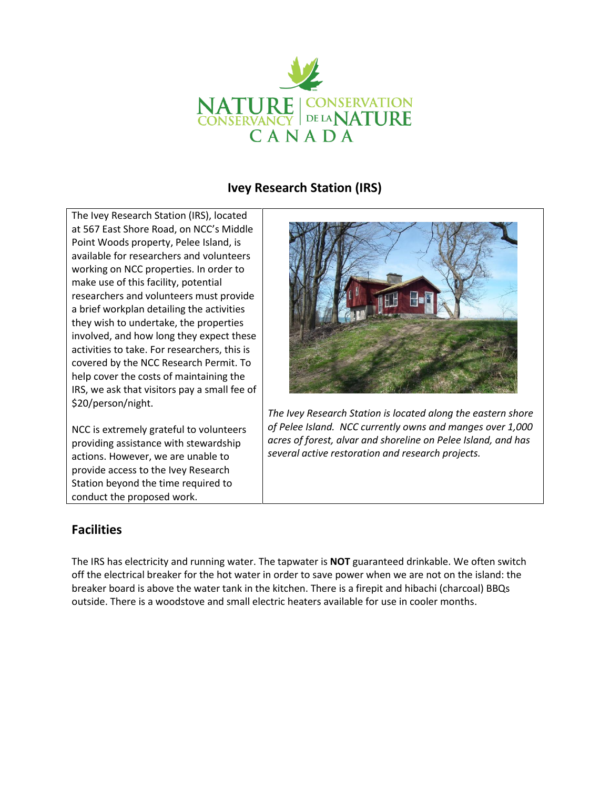

# **Ivey Research Station (IRS)**

The Ivey Research Station (IRS), located at 567 East Shore Road, on NCC's Middle Point Woods property, Pelee Island, is available for researchers and volunteers working on NCC properties. In order to make use of this facility, potential researchers and volunteers must provide a brief workplan detailing the activities they wish to undertake, the properties involved, and how long they expect these activities to take. For researchers, this is covered by the NCC Research Permit. To help cover the costs of maintaining the IRS, we ask that visitors pay a small fee of \$20/person/night.

NCC is extremely grateful to volunteers providing assistance with stewardship actions. However, we are unable to provide access to the Ivey Research Station beyond the time required to conduct the proposed work.



*The Ivey Research Station is located along the eastern shore of Pelee Island. NCC currently owns and manges over 1,000 acres of forest, alvar and shoreline on Pelee Island, and has several active restoration and research projects.*

## **Facilities**

The IRS has electricity and running water. The tapwater is **NOT** guaranteed drinkable. We often switch off the electrical breaker for the hot water in order to save power when we are not on the island: the breaker board is above the water tank in the kitchen. There is a firepit and hibachi (charcoal) BBQs outside. There is a woodstove and small electric heaters available for use in cooler months.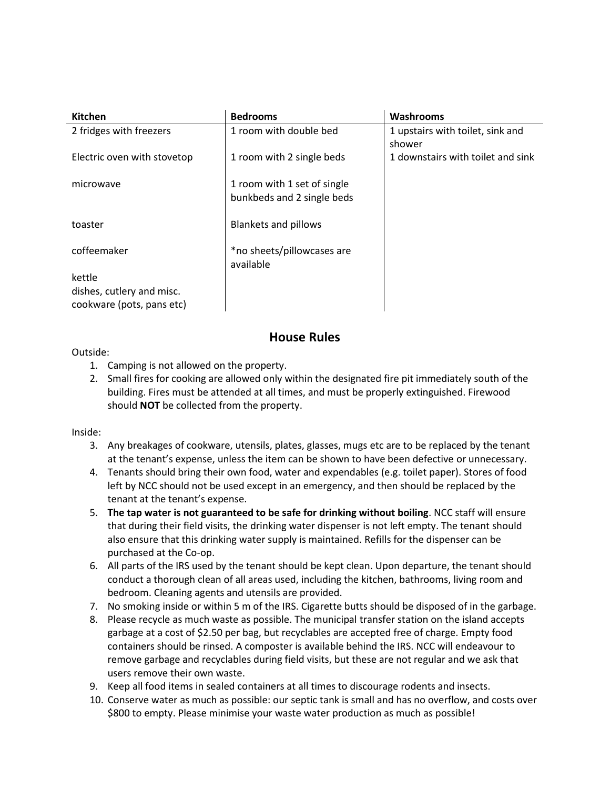| <b>Kitchen</b>              | <b>Bedrooms</b>             | Washrooms                         |
|-----------------------------|-----------------------------|-----------------------------------|
| 2 fridges with freezers     | 1 room with double bed      | 1 upstairs with toilet, sink and  |
|                             |                             | shower                            |
| Electric oven with stovetop | 1 room with 2 single beds   | 1 downstairs with toilet and sink |
|                             |                             |                                   |
| microwave                   | 1 room with 1 set of single |                                   |
|                             | bunkbeds and 2 single beds  |                                   |
|                             |                             |                                   |
| toaster                     | <b>Blankets and pillows</b> |                                   |
|                             |                             |                                   |
| coffeemaker                 | *no sheets/pillowcases are  |                                   |
|                             | available                   |                                   |
| kettle                      |                             |                                   |
| dishes, cutlery and misc.   |                             |                                   |
| cookware (pots, pans etc)   |                             |                                   |

### **House Rules**

### Outside:

- 1. Camping is not allowed on the property.
- 2. Small fires for cooking are allowed only within the designated fire pit immediately south of the building. Fires must be attended at all times, and must be properly extinguished. Firewood should **NOT** be collected from the property.

#### Inside:

- 3. Any breakages of cookware, utensils, plates, glasses, mugs etc are to be replaced by the tenant at the tenant's expense, unless the item can be shown to have been defective or unnecessary.
- 4. Tenants should bring their own food, water and expendables (e.g. toilet paper). Stores of food left by NCC should not be used except in an emergency, and then should be replaced by the tenant at the tenant's expense.
- 5. **The tap water is not guaranteed to be safe for drinking without boiling**. NCC staff will ensure that during their field visits, the drinking water dispenser is not left empty. The tenant should also ensure that this drinking water supply is maintained. Refills for the dispenser can be purchased at the Co-op.
- 6. All parts of the IRS used by the tenant should be kept clean. Upon departure, the tenant should conduct a thorough clean of all areas used, including the kitchen, bathrooms, living room and bedroom. Cleaning agents and utensils are provided.
- 7. No smoking inside or within 5 m of the IRS. Cigarette butts should be disposed of in the garbage.
- 8. Please recycle as much waste as possible. The municipal transfer station on the island accepts garbage at a cost of \$2.50 per bag, but recyclables are accepted free of charge. Empty food containers should be rinsed. A composter is available behind the IRS. NCC will endeavour to remove garbage and recyclables during field visits, but these are not regular and we ask that users remove their own waste.
- 9. Keep all food items in sealed containers at all times to discourage rodents and insects.
- 10. Conserve water as much as possible: our septic tank is small and has no overflow, and costs over \$800 to empty. Please minimise your waste water production as much as possible!